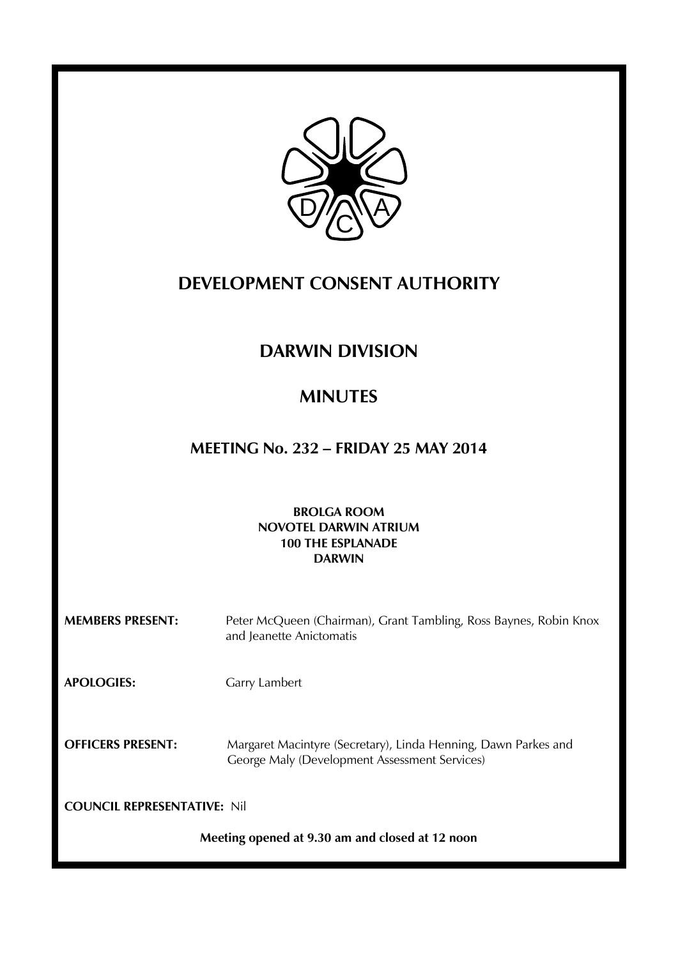

# **DEVELOPMENT CONSENT AUTHORITY**

# **DARWIN DIVISION**

# **MINUTES**

# **MEETING No. 232 – FRIDAY 25 MAY 2014**

# **BROLGA ROOM NOVOTEL DARWIN ATRIUM 100 THE ESPLANADE DARWIN**

| <b>MEMBERS PRESENT:</b>                         | Peter McQueen (Chairman), Grant Tambling, Ross Baynes, Robin Knox<br>and Jeanette Anictomatis                   |
|-------------------------------------------------|-----------------------------------------------------------------------------------------------------------------|
| <b>APOLOGIES:</b>                               | Garry Lambert                                                                                                   |
| <b>OFFICERS PRESENT:</b>                        | Margaret Macintyre (Secretary), Linda Henning, Dawn Parkes and<br>George Maly (Development Assessment Services) |
| <b>COUNCIL REPRESENTATIVE: Nil</b>              |                                                                                                                 |
| Meeting opened at 9.30 am and closed at 12 noon |                                                                                                                 |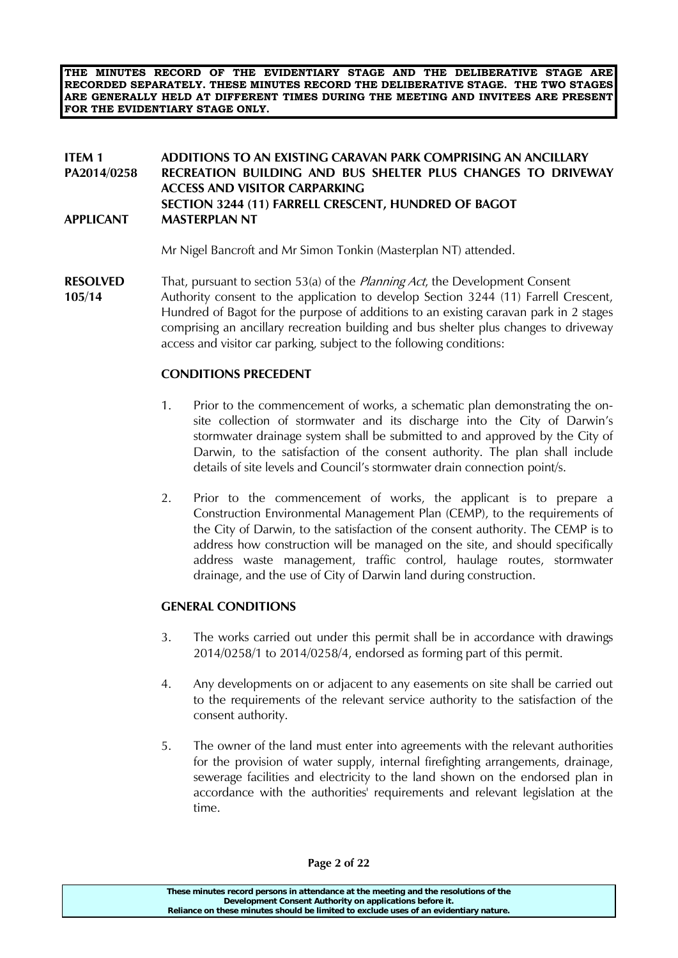**THE MINUTES RECORD OF THE EVIDENTIARY STAGE AND THE DELIBERATIVE STAGE ARE RECORDED SEPARATELY. THESE MINUTES RECORD THE DELIBERATIVE STAGE. THE TWO STAGES ARE GENERALLY HELD AT DIFFERENT TIMES DURING THE MEETING AND INVITEES ARE PRESENT FOR THE EVIDENTIARY STAGE ONLY.**

## **ITEM 1 ADDITIONS TO AN EXISTING CARAVAN PARK COMPRISING AN ANCILLARY PA2014/0258 RECREATION BUILDING AND BUS SHELTER PLUS CHANGES TO DRIVEWAY ACCESS AND VISITOR CARPARKING SECTION 3244 (11) FARRELL CRESCENT, HUNDRED OF BAGOT APPLICANT MASTERPLAN NT**

Mr Nigel Bancroft and Mr Simon Tonkin (Masterplan NT) attended.

**RESOLVED** That, pursuant to section 53(a) of the *Planning Act*, the Development Consent **105/14** Authority consent to the application to develop Section 3244 (11) Farrell Crescent, Hundred of Bagot for the purpose of additions to an existing caravan park in 2 stages comprising an ancillary recreation building and bus shelter plus changes to driveway access and visitor car parking, subject to the following conditions:

### **CONDITIONS PRECEDENT**

- 1. Prior to the commencement of works, a schematic plan demonstrating the onsite collection of stormwater and its discharge into the City of Darwin's stormwater drainage system shall be submitted to and approved by the City of Darwin, to the satisfaction of the consent authority. The plan shall include details of site levels and Council's stormwater drain connection point/s.
- 2. Prior to the commencement of works, the applicant is to prepare a Construction Environmental Management Plan (CEMP), to the requirements of the City of Darwin, to the satisfaction of the consent authority. The CEMP is to address how construction will be managed on the site, and should specifically address waste management, traffic control, haulage routes, stormwater drainage, and the use of City of Darwin land during construction.

### **GENERAL CONDITIONS**

- 3. The works carried out under this permit shall be in accordance with drawings 2014/0258/1 to 2014/0258/4, endorsed as forming part of this permit.
- 4. Any developments on or adjacent to any easements on site shall be carried out to the requirements of the relevant service authority to the satisfaction of the consent authority.
- 5. The owner of the land must enter into agreements with the relevant authorities for the provision of water supply, internal firefighting arrangements, drainage, sewerage facilities and electricity to the land shown on the endorsed plan in accordance with the authorities' requirements and relevant legislation at the time.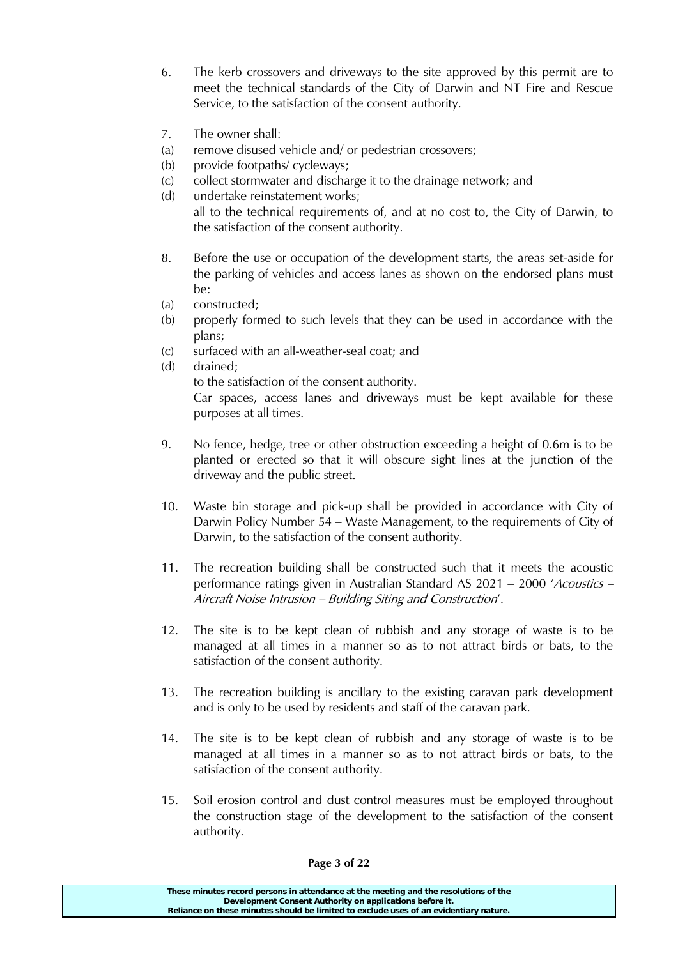- 6. The kerb crossovers and driveways to the site approved by this permit are to meet the technical standards of the City of Darwin and NT Fire and Rescue Service, to the satisfaction of the consent authority.
- 7. The owner shall:
- (a) remove disused vehicle and/ or pedestrian crossovers;
- (b) provide footpaths/ cycleways;
- (c) collect stormwater and discharge it to the drainage network; and
- (d) undertake reinstatement works; all to the technical requirements of, and at no cost to, the City of Darwin, to the satisfaction of the consent authority.
- 8. Before the use or occupation of the development starts, the areas set-aside for the parking of vehicles and access lanes as shown on the endorsed plans must be:
- (a) constructed;
- (b) properly formed to such levels that they can be used in accordance with the plans;
- (c) surfaced with an all-weather-seal coat; and
- (d) drained;

to the satisfaction of the consent authority.

Car spaces, access lanes and driveways must be kept available for these purposes at all times.

- 9. No fence, hedge, tree or other obstruction exceeding a height of 0.6m is to be planted or erected so that it will obscure sight lines at the junction of the driveway and the public street.
- 10. Waste bin storage and pick-up shall be provided in accordance with City of Darwin Policy Number 54 – Waste Management, to the requirements of City of Darwin, to the satisfaction of the consent authority.
- 11. The recreation building shall be constructed such that it meets the acoustic performance ratings given in Australian Standard AS 2021 – 2000 'Acoustics – Aircraft Noise Intrusion – Building Siting and Construction'.
- 12. The site is to be kept clean of rubbish and any storage of waste is to be managed at all times in a manner so as to not attract birds or bats, to the satisfaction of the consent authority.
- 13. The recreation building is ancillary to the existing caravan park development and is only to be used by residents and staff of the caravan park.
- 14. The site is to be kept clean of rubbish and any storage of waste is to be managed at all times in a manner so as to not attract birds or bats, to the satisfaction of the consent authority.
- 15. Soil erosion control and dust control measures must be employed throughout the construction stage of the development to the satisfaction of the consent authority.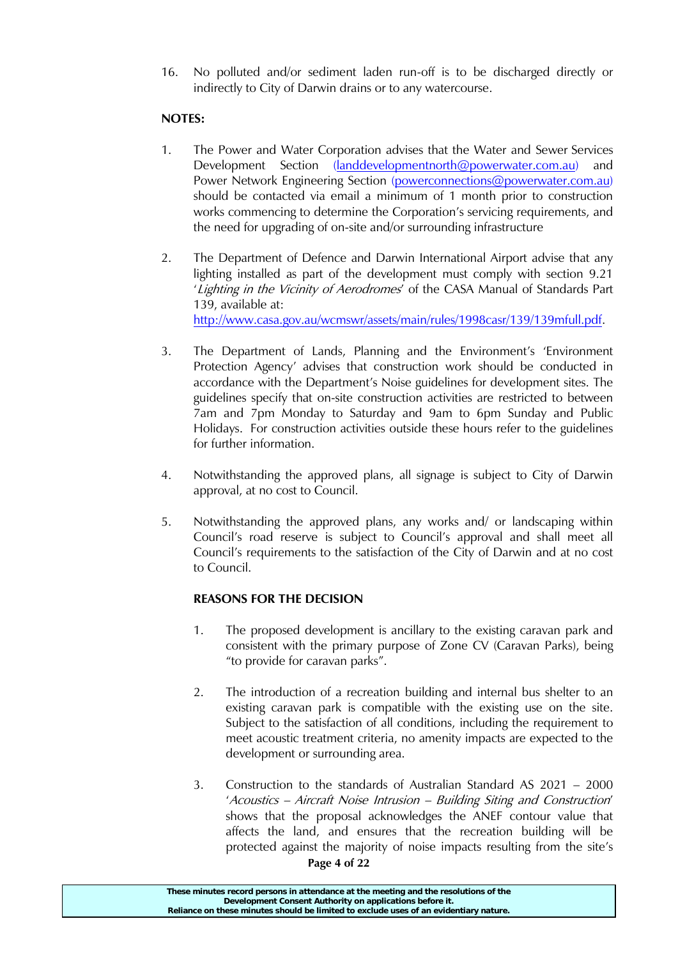16. No polluted and/or sediment laden run-off is to be discharged directly or indirectly to City of Darwin drains or to any watercourse.

# **NOTES:**

- 1. The Power and Water Corporation advises that the Water and Sewer Services Development Section [\(landdevelopmentnorth@powerwater.com.au\)](mailto:landdevelopmentnorth@powerwater.com.au) and Power Network Engineering Section [\(powerconnections@powerwater.com.au\)](mailto:powerconnections@powerwater.com.au) should be contacted via email a minimum of 1 month prior to construction works commencing to determine the Corporation's servicing requirements, and the need for upgrading of on-site and/or surrounding infrastructure
- 2. The Department of Defence and Darwin International Airport advise that any lighting installed as part of the development must comply with section 9.21 'Lighting in the Vicinity of Aerodromes' of the CASA Manual of Standards Part 139, available at: [http://www.casa.gov.au/wcmswr/assets/main/rules/1998casr/139/139mfull.pdf.](http://www.casa.gov.au/wcmswr/assets/main/rules/1998casr/139/139mfull.pdf)
- 3. The Department of Lands, Planning and the Environment's 'Environment Protection Agency' advises that construction work should be conducted in accordance with the Department's Noise guidelines for development sites. The guidelines specify that on-site construction activities are restricted to between 7am and 7pm Monday to Saturday and 9am to 6pm Sunday and Public Holidays. For construction activities outside these hours refer to the guidelines for further information.
- 4. Notwithstanding the approved plans, all signage is subject to City of Darwin approval, at no cost to Council.
- 5. Notwithstanding the approved plans, any works and/ or landscaping within Council's road reserve is subject to Council's approval and shall meet all Council's requirements to the satisfaction of the City of Darwin and at no cost to Council.

# **REASONS FOR THE DECISION**

- 1. The proposed development is ancillary to the existing caravan park and consistent with the primary purpose of Zone CV (Caravan Parks), being "to provide for caravan parks".
- 2. The introduction of a recreation building and internal bus shelter to an existing caravan park is compatible with the existing use on the site. Subject to the satisfaction of all conditions, including the requirement to meet acoustic treatment criteria, no amenity impacts are expected to the development or surrounding area.
- 3. Construction to the standards of Australian Standard AS 2021 2000 'Acoustics – Aircraft Noise Intrusion – Building Siting and Construction' shows that the proposal acknowledges the ANEF contour value that affects the land, and ensures that the recreation building will be protected against the majority of noise impacts resulting from the site's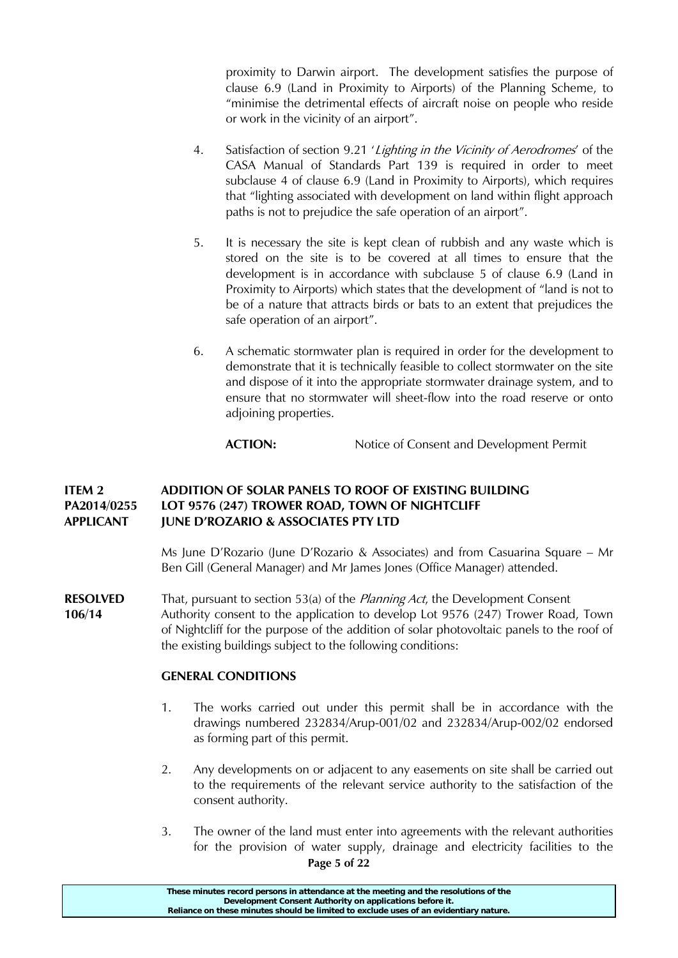proximity to Darwin airport. The development satisfies the purpose of clause 6.9 (Land in Proximity to Airports) of the Planning Scheme, to "minimise the detrimental effects of aircraft noise on people who reside or work in the vicinity of an airport".

- 4. Satisfaction of section 9.21 'Lighting in the Vicinity of Aerodromes' of the CASA Manual of Standards Part 139 is required in order to meet subclause 4 of clause 6.9 (Land in Proximity to Airports), which requires that "lighting associated with development on land within flight approach paths is not to prejudice the safe operation of an airport".
- 5. It is necessary the site is kept clean of rubbish and any waste which is stored on the site is to be covered at all times to ensure that the development is in accordance with subclause 5 of clause 6.9 (Land in Proximity to Airports) which states that the development of "land is not to be of a nature that attracts birds or bats to an extent that prejudices the safe operation of an airport".
- 6. A schematic stormwater plan is required in order for the development to demonstrate that it is technically feasible to collect stormwater on the site and dispose of it into the appropriate stormwater drainage system, and to ensure that no stormwater will sheet-flow into the road reserve or onto adjoining properties.

ACTION: Notice of Consent and Development Permit

## **ITEM 2 ADDITION OF SOLAR PANELS TO ROOF OF EXISTING BUILDING PA2014/0255 LOT 9576 (247) TROWER ROAD, TOWN OF NIGHTCLIFF APPLICANT JUNE D'ROZARIO & ASSOCIATES PTY LTD**

Ms June D'Rozario (June D'Rozario & Associates) and from Casuarina Square – Mr Ben Gill (General Manager) and Mr James Jones (Office Manager) attended.

**RESOLVED** That, pursuant to section 53(a) of the *Planning Act*, the Development Consent **106/14** Authority consent to the application to develop Lot 9576 (247) Trower Road, Town of Nightcliff for the purpose of the addition of solar photovoltaic panels to the roof of the existing buildings subject to the following conditions:

### **GENERAL CONDITIONS**

- 1. The works carried out under this permit shall be in accordance with the drawings numbered 232834/Arup-001/02 and 232834/Arup-002/02 endorsed as forming part of this permit.
- 2. Any developments on or adjacent to any easements on site shall be carried out to the requirements of the relevant service authority to the satisfaction of the consent authority.
- **Page 5 of 22** 3. The owner of the land must enter into agreements with the relevant authorities for the provision of water supply, drainage and electricity facilities to the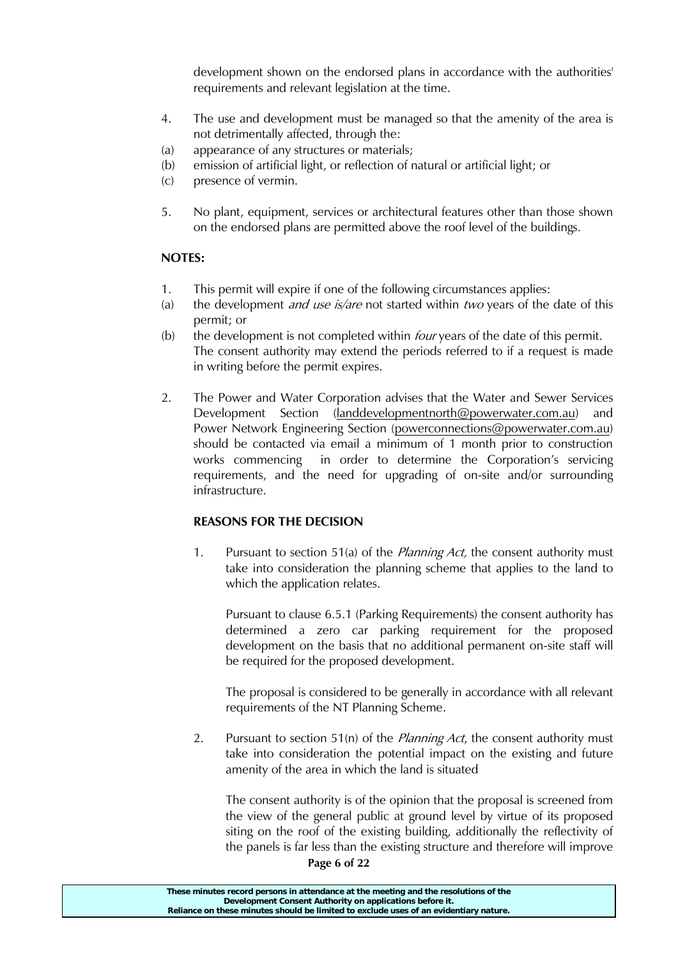development shown on the endorsed plans in accordance with the authorities' requirements and relevant legislation at the time.

- 4. The use and development must be managed so that the amenity of the area is not detrimentally affected, through the:
- (a) appearance of any structures or materials;
- (b) emission of artificial light, or reflection of natural or artificial light; or
- (c) presence of vermin.
- 5. No plant, equipment, services or architectural features other than those shown on the endorsed plans are permitted above the roof level of the buildings.

# **NOTES:**

- 1. This permit will expire if one of the following circumstances applies:
- (a) the development *and use is/are* not started within *two* years of the date of this permit; or
- (b) the development is not completed within *four* years of the date of this permit. The consent authority may extend the periods referred to if a request is made in writing before the permit expires.
- 2. The Power and Water Corporation advises that the Water and Sewer Services Development Section [\(landdevelopmentnorth@powerwater.com.au\)](mailto:landdevelopmentnorth@powerwater.com.au) and Power Network Engineering Section [\(powerconnections@powerwater.com.au\)](mailto:powerconnections@powerwater.com.au) should be contacted via email a minimum of 1 month prior to construction works commencing in order to determine the Corporation's servicing requirements, and the need for upgrading of on-site and/or surrounding infrastructure.

# **REASONS FOR THE DECISION**

1. Pursuant to section 51(a) of the *Planning Act*, the consent authority must take into consideration the planning scheme that applies to the land to which the application relates.

Pursuant to clause 6.5.1 (Parking Requirements) the consent authority has determined a zero car parking requirement for the proposed development on the basis that no additional permanent on-site staff will be required for the proposed development.

The proposal is considered to be generally in accordance with all relevant requirements of the NT Planning Scheme.

2. Pursuant to section 51(n) of the *Planning Act*, the consent authority must take into consideration the potential impact on the existing and future amenity of the area in which the land is situated

The consent authority is of the opinion that the proposal is screened from the view of the general public at ground level by virtue of its proposed siting on the roof of the existing building, additionally the reflectivity of the panels is far less than the existing structure and therefore will improve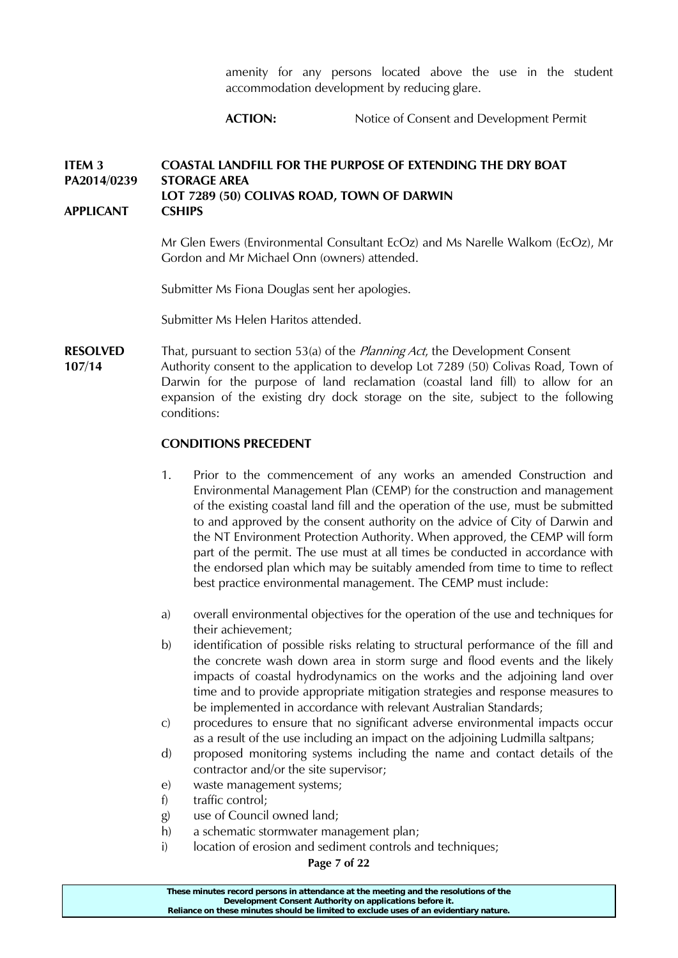amenity for any persons located above the use in the student accommodation development by reducing glare.

# ACTION: Notice of Consent and Development Permit

#### **ITEM 3 COASTAL LANDFILL FOR THE PURPOSE OF EXTENDING THE DRY BOAT PA2014/0239 STORAGE AREA LOT 7289 (50) COLIVAS ROAD, TOWN OF DARWIN APPLICANT CSHIPS**

Mr Glen Ewers (Environmental Consultant EcOz) and Ms Narelle Walkom (EcOz), Mr Gordon and Mr Michael Onn (owners) attended.

Submitter Ms Fiona Douglas sent her apologies.

Submitter Ms Helen Haritos attended.

**RESOLVED** That, pursuant to section 53(a) of the *Planning Act*, the Development Consent

**107/14** Authority consent to the application to develop Lot 7289 (50) Colivas Road, Town of Darwin for the purpose of land reclamation (coastal land fill) to allow for an expansion of the existing dry dock storage on the site, subject to the following conditions:

### **CONDITIONS PRECEDENT**

- 1. Prior to the commencement of any works an amended Construction and Environmental Management Plan (CEMP) for the construction and management of the existing coastal land fill and the operation of the use, must be submitted to and approved by the consent authority on the advice of City of Darwin and the NT Environment Protection Authority. When approved, the CEMP will form part of the permit. The use must at all times be conducted in accordance with the endorsed plan which may be suitably amended from time to time to reflect best practice environmental management. The CEMP must include:
- a) overall environmental objectives for the operation of the use and techniques for their achievement;
- b) identification of possible risks relating to structural performance of the fill and the concrete wash down area in storm surge and flood events and the likely impacts of coastal hydrodynamics on the works and the adjoining land over time and to provide appropriate mitigation strategies and response measures to be implemented in accordance with relevant Australian Standards;
- c) procedures to ensure that no significant adverse environmental impacts occur as a result of the use including an impact on the adjoining Ludmilla saltpans;
- d) proposed monitoring systems including the name and contact details of the contractor and/or the site supervisor;
- e) waste management systems;
- f) traffic control;
- g) use of Council owned land;
- h) a schematic stormwater management plan;
- i) location of erosion and sediment controls and techniques;

**Page 7 of 22**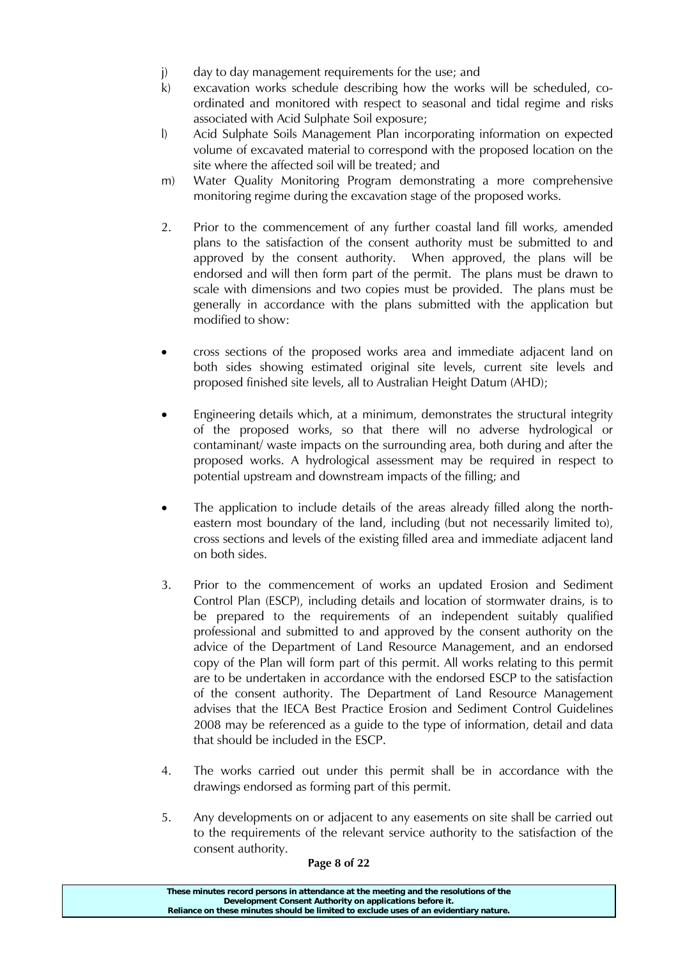- j) day to day management requirements for the use; and
- k) excavation works schedule describing how the works will be scheduled, coordinated and monitored with respect to seasonal and tidal regime and risks associated with Acid Sulphate Soil exposure;
- l) Acid Sulphate Soils Management Plan incorporating information on expected volume of excavated material to correspond with the proposed location on the site where the affected soil will be treated; and
- m) Water Quality Monitoring Program demonstrating a more comprehensive monitoring regime during the excavation stage of the proposed works.
- 2. Prior to the commencement of any further coastal land fill works, amended plans to the satisfaction of the consent authority must be submitted to and approved by the consent authority. When approved, the plans will be endorsed and will then form part of the permit. The plans must be drawn to scale with dimensions and two copies must be provided. The plans must be generally in accordance with the plans submitted with the application but modified to show:
- cross sections of the proposed works area and immediate adjacent land on both sides showing estimated original site levels, current site levels and proposed finished site levels, all to Australian Height Datum (AHD);
- Engineering details which, at a minimum, demonstrates the structural integrity of the proposed works, so that there will no adverse hydrological or contaminant/ waste impacts on the surrounding area, both during and after the proposed works. A hydrological assessment may be required in respect to potential upstream and downstream impacts of the filling; and
- The application to include details of the areas already filled along the northeastern most boundary of the land, including (but not necessarily limited to), cross sections and levels of the existing filled area and immediate adjacent land on both sides.
- 3. Prior to the commencement of works an updated Erosion and Sediment Control Plan (ESCP), including details and location of stormwater drains, is to be prepared to the requirements of an independent suitably qualified professional and submitted to and approved by the consent authority on the advice of the Department of Land Resource Management, and an endorsed copy of the Plan will form part of this permit. All works relating to this permit are to be undertaken in accordance with the endorsed ESCP to the satisfaction of the consent authority. The Department of Land Resource Management advises that the IECA Best Practice Erosion and Sediment Control Guidelines 2008 may be referenced as a guide to the type of information, detail and data that should be included in the ESCP.
- 4. The works carried out under this permit shall be in accordance with the drawings endorsed as forming part of this permit.
- 5. Any developments on or adjacent to any easements on site shall be carried out to the requirements of the relevant service authority to the satisfaction of the consent authority.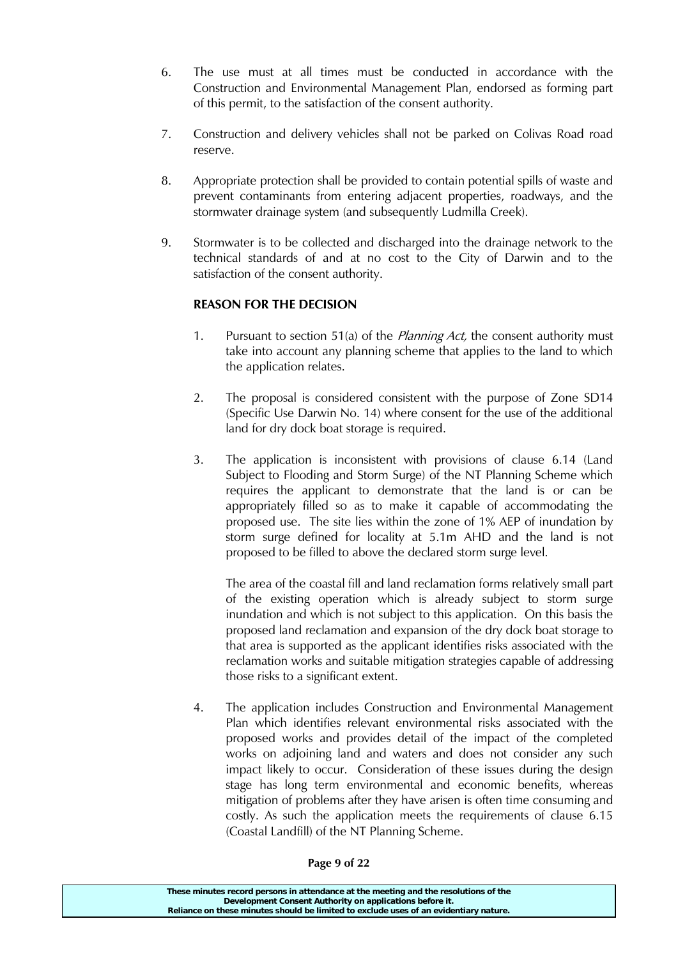- 6. The use must at all times must be conducted in accordance with the Construction and Environmental Management Plan, endorsed as forming part of this permit, to the satisfaction of the consent authority.
- 7. Construction and delivery vehicles shall not be parked on Colivas Road road reserve.
- 8. Appropriate protection shall be provided to contain potential spills of waste and prevent contaminants from entering adjacent properties, roadways, and the stormwater drainage system (and subsequently Ludmilla Creek).
- 9. Stormwater is to be collected and discharged into the drainage network to the technical standards of and at no cost to the City of Darwin and to the satisfaction of the consent authority.

# **REASON FOR THE DECISION**

- 1. Pursuant to section 51(a) of the *Planning Act*, the consent authority must take into account any planning scheme that applies to the land to which the application relates.
- 2. The proposal is considered consistent with the purpose of Zone SD14 (Specific Use Darwin No. 14) where consent for the use of the additional land for dry dock boat storage is required.
- 3. The application is inconsistent with provisions of clause 6.14 (Land Subject to Flooding and Storm Surge) of the NT Planning Scheme which requires the applicant to demonstrate that the land is or can be appropriately filled so as to make it capable of accommodating the proposed use. The site lies within the zone of 1% AEP of inundation by storm surge defined for locality at 5.1m AHD and the land is not proposed to be filled to above the declared storm surge level.

The area of the coastal fill and land reclamation forms relatively small part of the existing operation which is already subject to storm surge inundation and which is not subject to this application. On this basis the proposed land reclamation and expansion of the dry dock boat storage to that area is supported as the applicant identifies risks associated with the reclamation works and suitable mitigation strategies capable of addressing those risks to a significant extent.

4. The application includes Construction and Environmental Management Plan which identifies relevant environmental risks associated with the proposed works and provides detail of the impact of the completed works on adjoining land and waters and does not consider any such impact likely to occur. Consideration of these issues during the design stage has long term environmental and economic benefits, whereas mitigation of problems after they have arisen is often time consuming and costly. As such the application meets the requirements of clause 6.15 (Coastal Landfill) of the NT Planning Scheme.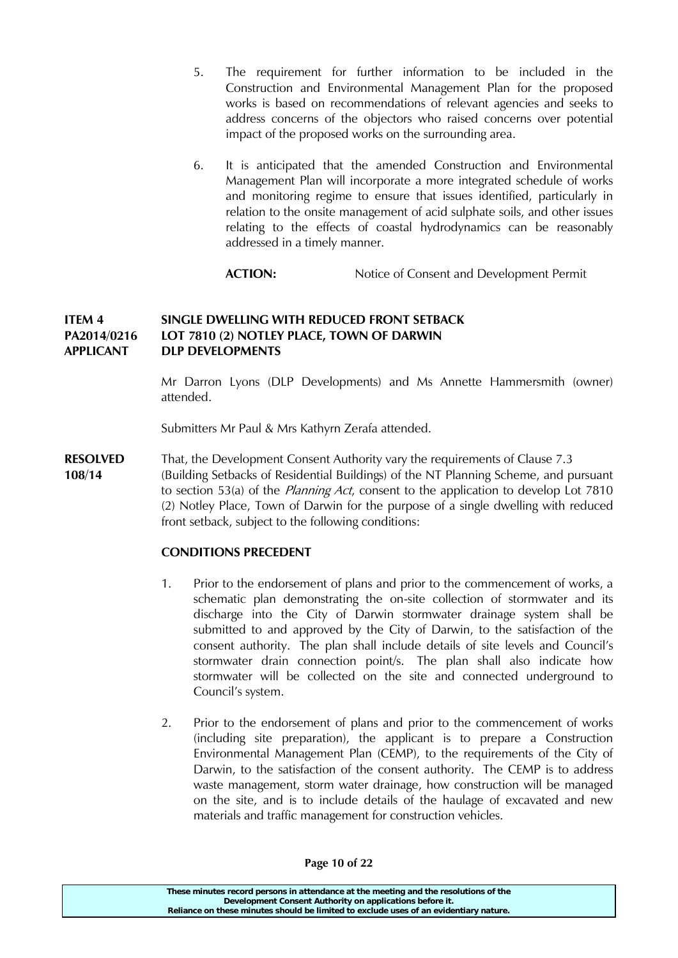- 5. The requirement for further information to be included in the Construction and Environmental Management Plan for the proposed works is based on recommendations of relevant agencies and seeks to address concerns of the objectors who raised concerns over potential impact of the proposed works on the surrounding area.
- 6. It is anticipated that the amended Construction and Environmental Management Plan will incorporate a more integrated schedule of works and monitoring regime to ensure that issues identified, particularly in relation to the onsite management of acid sulphate soils, and other issues relating to the effects of coastal hydrodynamics can be reasonably addressed in a timely manner.

**ACTION:** Notice of Consent and Development Permit

# **ITEM 4 SINGLE DWELLING WITH REDUCED FRONT SETBACK PA2014/0216 LOT 7810 (2) NOTLEY PLACE, TOWN OF DARWIN APPLICANT DLP DEVELOPMENTS**

Mr Darron Lyons (DLP Developments) and Ms Annette Hammersmith (owner) attended.

Submitters Mr Paul & Mrs Kathyrn Zerafa attended.

**RESOLVED** That, the Development Consent Authority vary the requirements of Clause 7.3 **108/14** (Building Setbacks of Residential Buildings) of the NT Planning Scheme, and pursuant to section 53(a) of the *Planning Act*, consent to the application to develop Lot 7810 (2) Notley Place, Town of Darwin for the purpose of a single dwelling with reduced front setback, subject to the following conditions:

# **CONDITIONS PRECEDENT**

- 1. Prior to the endorsement of plans and prior to the commencement of works, a schematic plan demonstrating the on-site collection of stormwater and its discharge into the City of Darwin stormwater drainage system shall be submitted to and approved by the City of Darwin, to the satisfaction of the consent authority. The plan shall include details of site levels and Council's stormwater drain connection point/s. The plan shall also indicate how stormwater will be collected on the site and connected underground to Council's system.
- 2. Prior to the endorsement of plans and prior to the commencement of works (including site preparation), the applicant is to prepare a Construction Environmental Management Plan (CEMP), to the requirements of the City of Darwin, to the satisfaction of the consent authority. The CEMP is to address waste management, storm water drainage, how construction will be managed on the site, and is to include details of the haulage of excavated and new materials and traffic management for construction vehicles.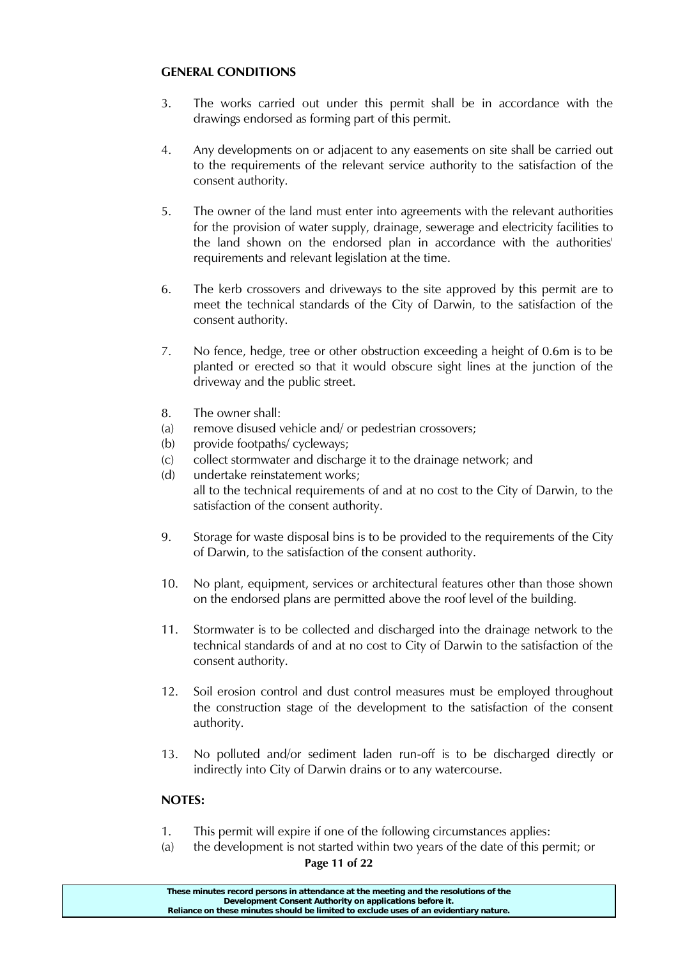## **GENERAL CONDITIONS**

- 3. The works carried out under this permit shall be in accordance with the drawings endorsed as forming part of this permit.
- 4. Any developments on or adjacent to any easements on site shall be carried out to the requirements of the relevant service authority to the satisfaction of the consent authority.
- 5. The owner of the land must enter into agreements with the relevant authorities for the provision of water supply, drainage, sewerage and electricity facilities to the land shown on the endorsed plan in accordance with the authorities' requirements and relevant legislation at the time.
- 6. The kerb crossovers and driveways to the site approved by this permit are to meet the technical standards of the City of Darwin, to the satisfaction of the consent authority.
- 7. No fence, hedge, tree or other obstruction exceeding a height of 0.6m is to be planted or erected so that it would obscure sight lines at the junction of the driveway and the public street.
- 8. The owner shall:
- (a) remove disused vehicle and/ or pedestrian crossovers;
- (b) provide footpaths/ cycleways;
- (c) collect stormwater and discharge it to the drainage network; and
- (d) undertake reinstatement works; all to the technical requirements of and at no cost to the City of Darwin, to the satisfaction of the consent authority.
- 9. Storage for waste disposal bins is to be provided to the requirements of the City of Darwin, to the satisfaction of the consent authority.
- 10. No plant, equipment, services or architectural features other than those shown on the endorsed plans are permitted above the roof level of the building.
- 11. Stormwater is to be collected and discharged into the drainage network to the technical standards of and at no cost to City of Darwin to the satisfaction of the consent authority.
- 12. Soil erosion control and dust control measures must be employed throughout the construction stage of the development to the satisfaction of the consent authority.
- 13. No polluted and/or sediment laden run-off is to be discharged directly or indirectly into City of Darwin drains or to any watercourse.

# **NOTES:**

- 1. This permit will expire if one of the following circumstances applies:
- (a) the development is not started within two years of the date of this permit; or

### **Page 11 of 22**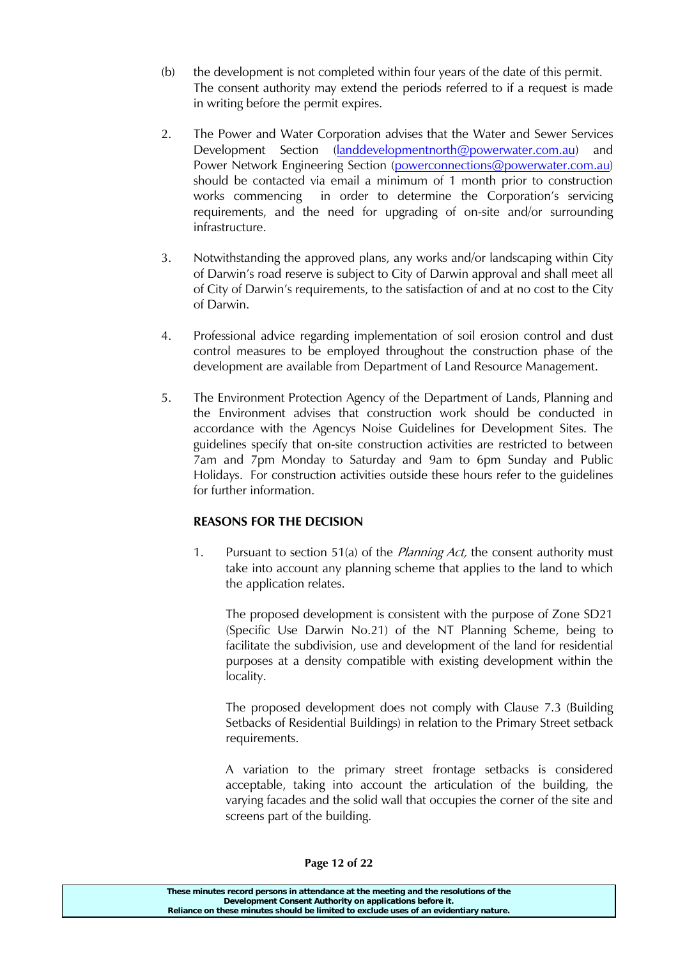- (b) the development is not completed within four years of the date of this permit. The consent authority may extend the periods referred to if a request is made in writing before the permit expires.
- 2. The Power and Water Corporation advises that the Water and Sewer Services Development Section [\(landdevelopmentnorth@powerwater.com.au\)](mailto:landdevelopmentnorth@powerwater.com.au) and Power Network Engineering Section [\(powerconnections@powerwater.com.au\)](mailto:powerconnections@powerwater.com.au) should be contacted via email a minimum of 1 month prior to construction works commencing in order to determine the Corporation's servicing requirements, and the need for upgrading of on-site and/or surrounding infrastructure.
- 3. Notwithstanding the approved plans, any works and/or landscaping within City of Darwin's road reserve is subject to City of Darwin approval and shall meet all of City of Darwin's requirements, to the satisfaction of and at no cost to the City of Darwin.
- 4. Professional advice regarding implementation of soil erosion control and dust control measures to be employed throughout the construction phase of the development are available from Department of Land Resource Management.
- 5. The Environment Protection Agency of the Department of Lands, Planning and the Environment advises that construction work should be conducted in accordance with the Agencys Noise Guidelines for Development Sites. The guidelines specify that on-site construction activities are restricted to between 7am and 7pm Monday to Saturday and 9am to 6pm Sunday and Public Holidays. For construction activities outside these hours refer to the guidelines for further information.

# **REASONS FOR THE DECISION**

1. Pursuant to section 51(a) of the *Planning Act*, the consent authority must take into account any planning scheme that applies to the land to which the application relates.

The proposed development is consistent with the purpose of Zone SD21 (Specific Use Darwin No.21) of the NT Planning Scheme, being to facilitate the subdivision, use and development of the land for residential purposes at a density compatible with existing development within the locality.

The proposed development does not comply with Clause 7.3 (Building Setbacks of Residential Buildings) in relation to the Primary Street setback requirements.

A variation to the primary street frontage setbacks is considered acceptable, taking into account the articulation of the building, the varying facades and the solid wall that occupies the corner of the site and screens part of the building.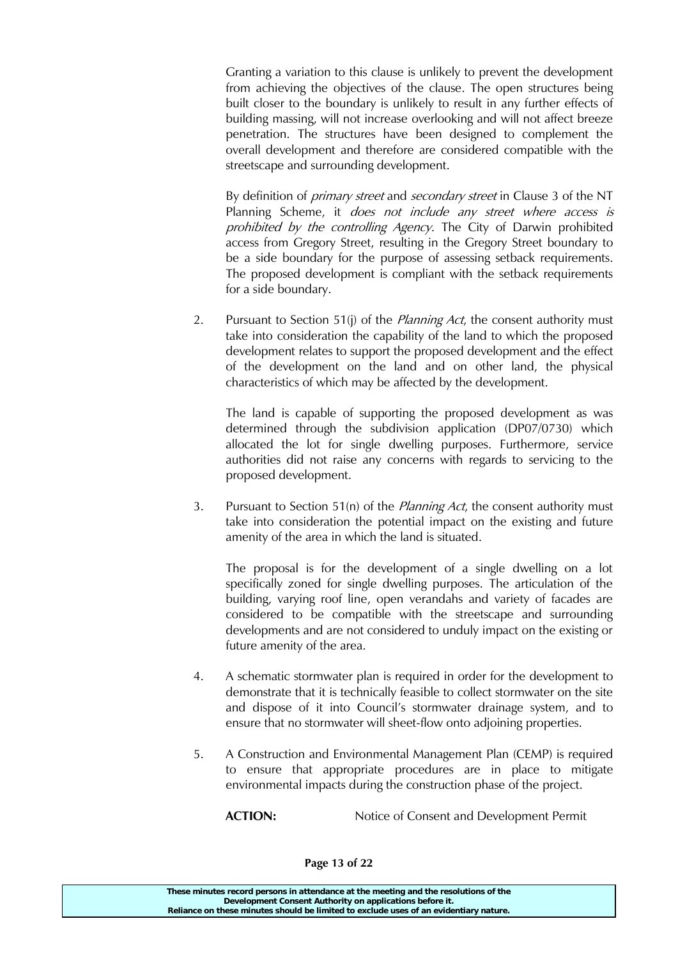Granting a variation to this clause is unlikely to prevent the development from achieving the objectives of the clause. The open structures being built closer to the boundary is unlikely to result in any further effects of building massing, will not increase overlooking and will not affect breeze penetration. The structures have been designed to complement the overall development and therefore are considered compatible with the streetscape and surrounding development.

By definition of *primary street* and *secondary street* in Clause 3 of the NT Planning Scheme, it *does not include any street where access is* prohibited by the controlling Agency. The City of Darwin prohibited access from Gregory Street, resulting in the Gregory Street boundary to be a side boundary for the purpose of assessing setback requirements. The proposed development is compliant with the setback requirements for a side boundary.

2. Pursuant to Section 51(j) of the *Planning Act*, the consent authority must take into consideration the capability of the land to which the proposed development relates to support the proposed development and the effect of the development on the land and on other land, the physical characteristics of which may be affected by the development.

The land is capable of supporting the proposed development as was determined through the subdivision application (DP07/0730) which allocated the lot for single dwelling purposes. Furthermore, service authorities did not raise any concerns with regards to servicing to the proposed development.

3. Pursuant to Section 51(n) of the *Planning Act*, the consent authority must take into consideration the potential impact on the existing and future amenity of the area in which the land is situated.

The proposal is for the development of a single dwelling on a lot specifically zoned for single dwelling purposes. The articulation of the building, varying roof line, open verandahs and variety of facades are considered to be compatible with the streetscape and surrounding developments and are not considered to unduly impact on the existing or future amenity of the area.

- 4. A schematic stormwater plan is required in order for the development to demonstrate that it is technically feasible to collect stormwater on the site and dispose of it into Council's stormwater drainage system, and to ensure that no stormwater will sheet-flow onto adjoining properties.
- 5. A Construction and Environmental Management Plan (CEMP) is required to ensure that appropriate procedures are in place to mitigate environmental impacts during the construction phase of the project.

**ACTION:** Notice of Consent and Development Permit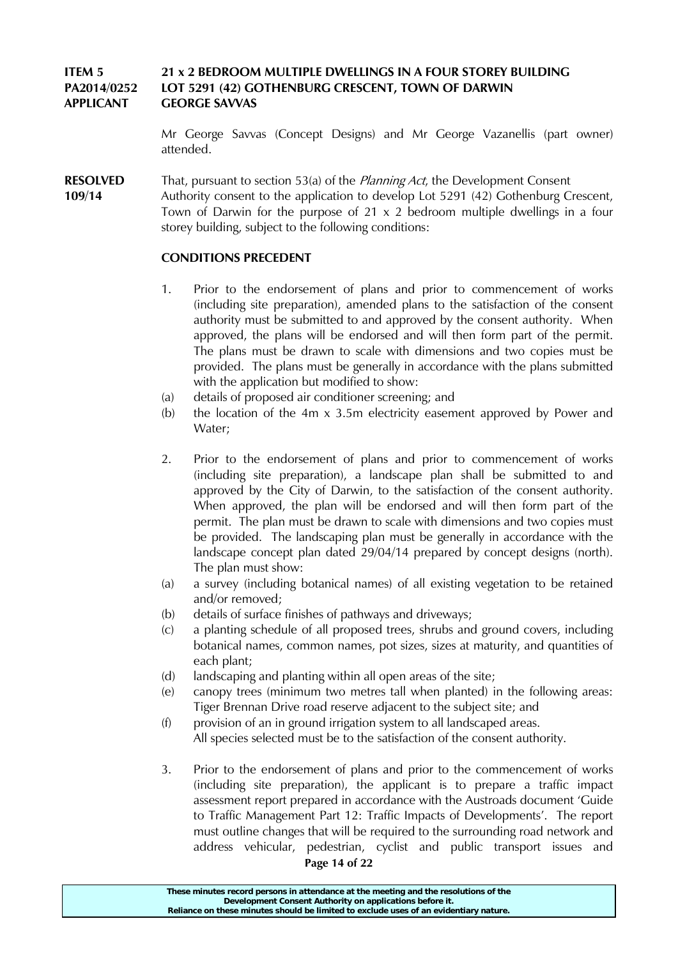# **ITEM 5 21 x 2 BEDROOM MULTIPLE DWELLINGS IN A FOUR STOREY BUILDING PA2014/0252 LOT 5291 (42) GOTHENBURG CRESCENT, TOWN OF DARWIN APPLICANT GEORGE SAVVAS**

Mr George Savvas (Concept Designs) and Mr George Vazanellis (part owner) attended.

**RESOLVED** That, pursuant to section 53(a) of the *Planning Act*, the Development Consent

**109/14** Authority consent to the application to develop Lot 5291 (42) Gothenburg Crescent, Town of Darwin for the purpose of 21 x 2 bedroom multiple dwellings in a four storey building, subject to the following conditions:

## **CONDITIONS PRECEDENT**

- 1. Prior to the endorsement of plans and prior to commencement of works (including site preparation), amended plans to the satisfaction of the consent authority must be submitted to and approved by the consent authority. When approved, the plans will be endorsed and will then form part of the permit. The plans must be drawn to scale with dimensions and two copies must be provided. The plans must be generally in accordance with the plans submitted with the application but modified to show:
- (a) details of proposed air conditioner screening; and
- (b) the location of the 4m  $\times$  3.5m electricity easement approved by Power and Water;
- 2. Prior to the endorsement of plans and prior to commencement of works (including site preparation), a landscape plan shall be submitted to and approved by the City of Darwin, to the satisfaction of the consent authority. When approved, the plan will be endorsed and will then form part of the permit. The plan must be drawn to scale with dimensions and two copies must be provided. The landscaping plan must be generally in accordance with the landscape concept plan dated 29/04/14 prepared by concept designs (north). The plan must show:
- (a) a survey (including botanical names) of all existing vegetation to be retained and/or removed;
- (b) details of surface finishes of pathways and driveways;
- (c) a planting schedule of all proposed trees, shrubs and ground covers, including botanical names, common names, pot sizes, sizes at maturity, and quantities of each plant;
- (d) landscaping and planting within all open areas of the site;
- (e) canopy trees (minimum two metres tall when planted) in the following areas: Tiger Brennan Drive road reserve adjacent to the subject site; and
- (f) provision of an in ground irrigation system to all landscaped areas. All species selected must be to the satisfaction of the consent authority.
- 3. Prior to the endorsement of plans and prior to the commencement of works (including site preparation), the applicant is to prepare a traffic impact assessment report prepared in accordance with the Austroads document 'Guide to Traffic Management Part 12: Traffic Impacts of Developments'. The report must outline changes that will be required to the surrounding road network and address vehicular, pedestrian, cyclist and public transport issues and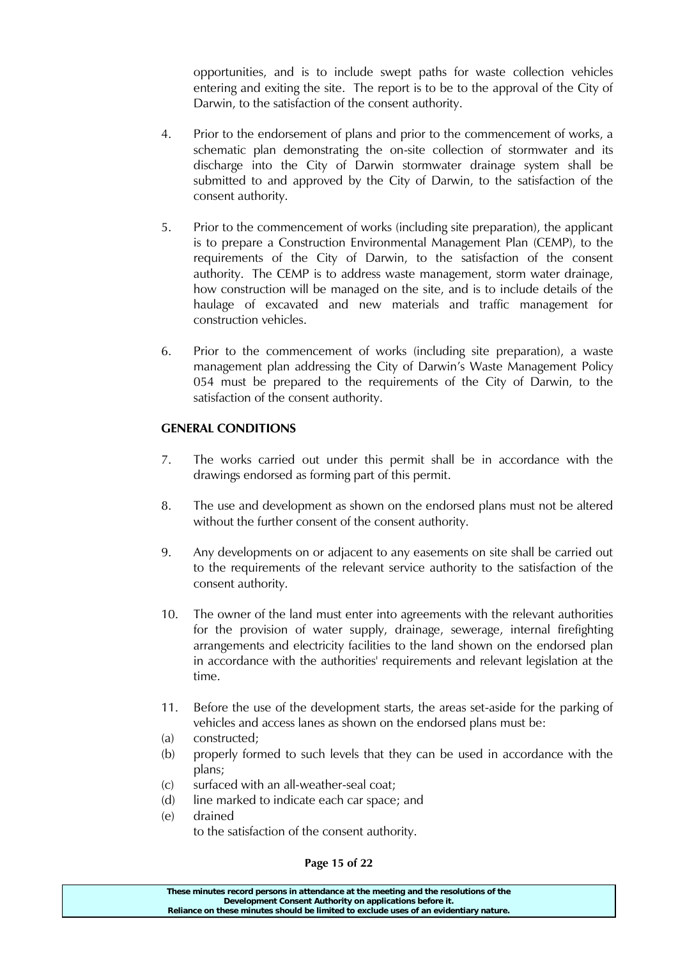opportunities, and is to include swept paths for waste collection vehicles entering and exiting the site. The report is to be to the approval of the City of Darwin, to the satisfaction of the consent authority.

- 4. Prior to the endorsement of plans and prior to the commencement of works, a schematic plan demonstrating the on-site collection of stormwater and its discharge into the City of Darwin stormwater drainage system shall be submitted to and approved by the City of Darwin, to the satisfaction of the consent authority.
- 5. Prior to the commencement of works (including site preparation), the applicant is to prepare a Construction Environmental Management Plan (CEMP), to the requirements of the City of Darwin, to the satisfaction of the consent authority. The CEMP is to address waste management, storm water drainage, how construction will be managed on the site, and is to include details of the haulage of excavated and new materials and traffic management for construction vehicles.
- 6. Prior to the commencement of works (including site preparation), a waste management plan addressing the City of Darwin's Waste Management Policy 054 must be prepared to the requirements of the City of Darwin, to the satisfaction of the consent authority.

## **GENERAL CONDITIONS**

- 7. The works carried out under this permit shall be in accordance with the drawings endorsed as forming part of this permit.
- 8. The use and development as shown on the endorsed plans must not be altered without the further consent of the consent authority.
- 9. Any developments on or adjacent to any easements on site shall be carried out to the requirements of the relevant service authority to the satisfaction of the consent authority.
- 10. The owner of the land must enter into agreements with the relevant authorities for the provision of water supply, drainage, sewerage, internal firefighting arrangements and electricity facilities to the land shown on the endorsed plan in accordance with the authorities' requirements and relevant legislation at the time.
- 11. Before the use of the development starts, the areas set-aside for the parking of vehicles and access lanes as shown on the endorsed plans must be:
- (a) constructed;
- (b) properly formed to such levels that they can be used in accordance with the plans;
- (c) surfaced with an all-weather-seal coat;
- (d) line marked to indicate each car space; and
- (e) drained to the satisfaction of the consent authority.

#### **Page 15 of 22**

| These minutes record persons in attendance at the meeting and the resolutions of the  |
|---------------------------------------------------------------------------------------|
| Development Consent Authority on applications before it.                              |
| Reliance on these minutes should be limited to exclude uses of an evidentiary nature. |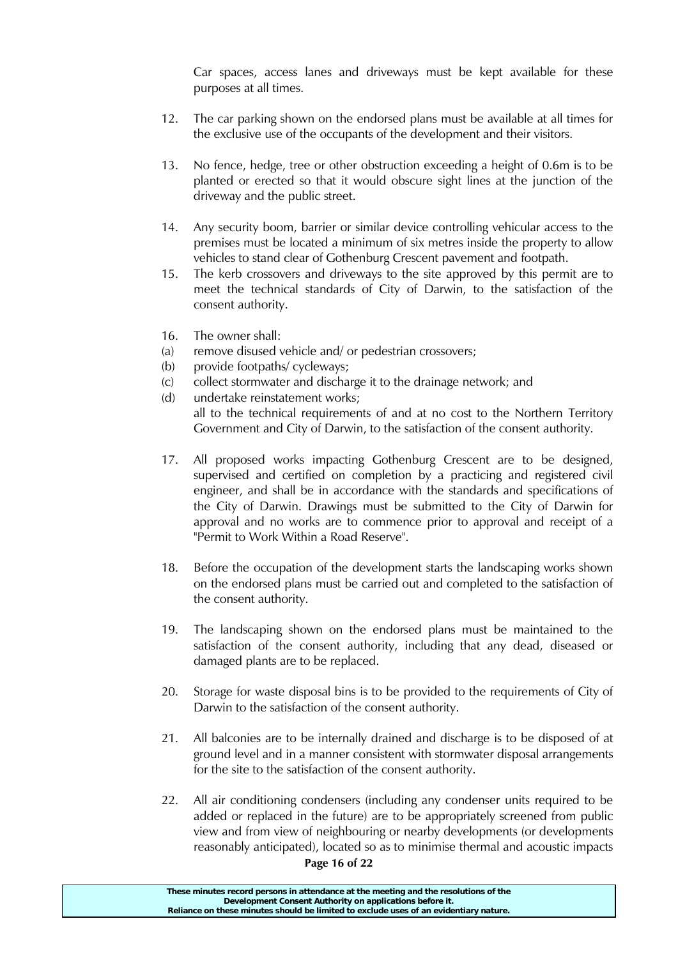Car spaces, access lanes and driveways must be kept available for these purposes at all times.

- 12. The car parking shown on the endorsed plans must be available at all times for the exclusive use of the occupants of the development and their visitors.
- 13. No fence, hedge, tree or other obstruction exceeding a height of 0.6m is to be planted or erected so that it would obscure sight lines at the junction of the driveway and the public street.
- 14. Any security boom, barrier or similar device controlling vehicular access to the premises must be located a minimum of six metres inside the property to allow vehicles to stand clear of Gothenburg Crescent pavement and footpath.
- 15. The kerb crossovers and driveways to the site approved by this permit are to meet the technical standards of City of Darwin, to the satisfaction of the consent authority.
- 16. The owner shall:
- (a) remove disused vehicle and/ or pedestrian crossovers;
- (b) provide footpaths/ cycleways;
- (c) collect stormwater and discharge it to the drainage network; and
- (d) undertake reinstatement works; all to the technical requirements of and at no cost to the Northern Territory Government and City of Darwin, to the satisfaction of the consent authority.
- 17. All proposed works impacting Gothenburg Crescent are to be designed, supervised and certified on completion by a practicing and registered civil engineer, and shall be in accordance with the standards and specifications of the City of Darwin. Drawings must be submitted to the City of Darwin for approval and no works are to commence prior to approval and receipt of a "Permit to Work Within a Road Reserve".
- 18. Before the occupation of the development starts the landscaping works shown on the endorsed plans must be carried out and completed to the satisfaction of the consent authority.
- 19. The landscaping shown on the endorsed plans must be maintained to the satisfaction of the consent authority, including that any dead, diseased or damaged plants are to be replaced.
- 20. Storage for waste disposal bins is to be provided to the requirements of City of Darwin to the satisfaction of the consent authority.
- 21. All balconies are to be internally drained and discharge is to be disposed of at ground level and in a manner consistent with stormwater disposal arrangements for the site to the satisfaction of the consent authority.
- 22. All air conditioning condensers (including any condenser units required to be added or replaced in the future) are to be appropriately screened from public view and from view of neighbouring or nearby developments (or developments reasonably anticipated), located so as to minimise thermal and acoustic impacts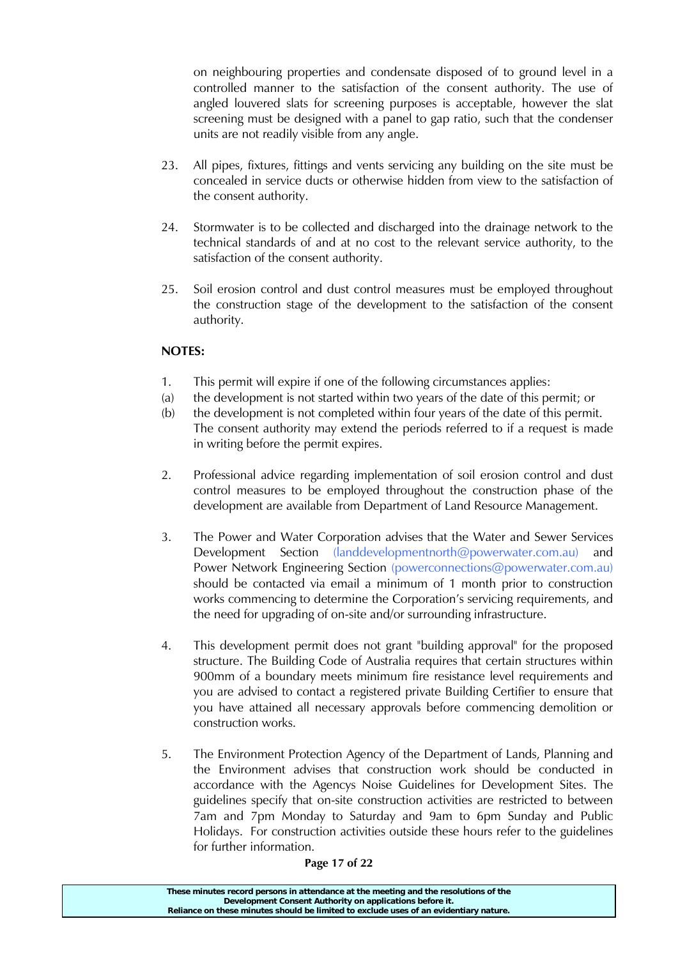on neighbouring properties and condensate disposed of to ground level in a controlled manner to the satisfaction of the consent authority. The use of angled louvered slats for screening purposes is acceptable, however the slat screening must be designed with a panel to gap ratio, such that the condenser units are not readily visible from any angle.

- 23. All pipes, fixtures, fittings and vents servicing any building on the site must be concealed in service ducts or otherwise hidden from view to the satisfaction of the consent authority.
- 24. Stormwater is to be collected and discharged into the drainage network to the technical standards of and at no cost to the relevant service authority, to the satisfaction of the consent authority.
- 25. Soil erosion control and dust control measures must be employed throughout the construction stage of the development to the satisfaction of the consent authority.

# **NOTES:**

- 1. This permit will expire if one of the following circumstances applies:
- (a) the development is not started within two years of the date of this permit; or
- (b) the development is not completed within four years of the date of this permit. The consent authority may extend the periods referred to if a request is made in writing before the permit expires.
- 2. Professional advice regarding implementation of soil erosion control and dust control measures to be employed throughout the construction phase of the development are available from Department of Land Resource Management.
- 3. The Power and Water Corporation advises that the Water and Sewer Services Development Section (landdevelopmentnorth@powerwater.com.au) and Power Network Engineering Section (powerconnections@powerwater.com.au) should be contacted via email a minimum of 1 month prior to construction works commencing to determine the Corporation's servicing requirements, and the need for upgrading of on-site and/or surrounding infrastructure.
- 4. This development permit does not grant "building approval" for the proposed structure. The Building Code of Australia requires that certain structures within 900mm of a boundary meets minimum fire resistance level requirements and you are advised to contact a registered private Building Certifier to ensure that you have attained all necessary approvals before commencing demolition or construction works.
- 5. The Environment Protection Agency of the Department of Lands, Planning and the Environment advises that construction work should be conducted in accordance with the Agencys Noise Guidelines for Development Sites. The guidelines specify that on-site construction activities are restricted to between 7am and 7pm Monday to Saturday and 9am to 6pm Sunday and Public Holidays. For construction activities outside these hours refer to the guidelines for further information.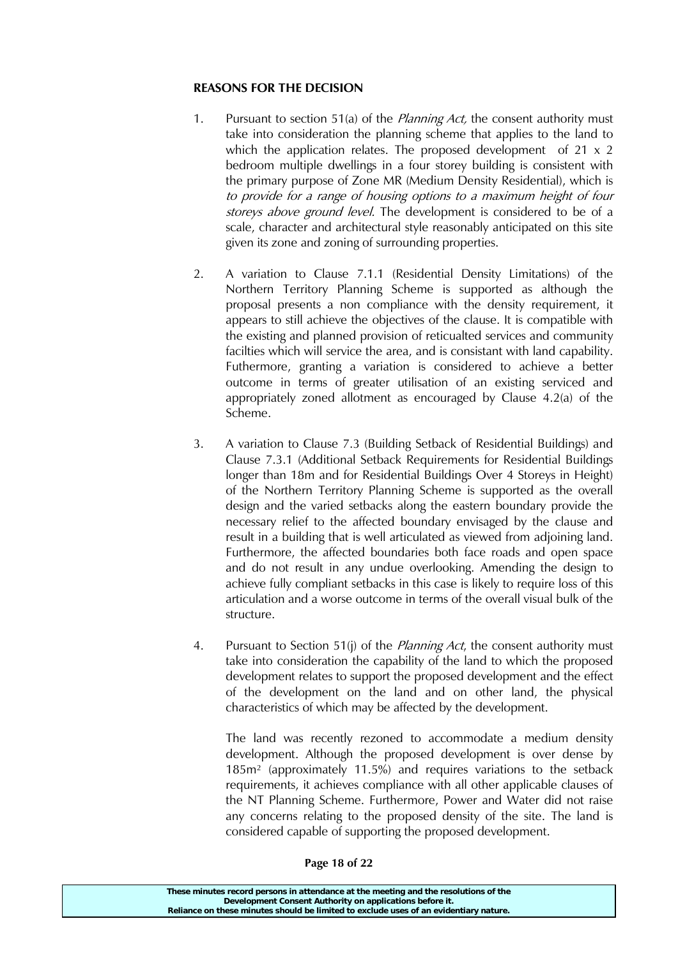## **REASONS FOR THE DECISION**

- 1. Pursuant to section 51(a) of the *Planning Act*, the consent authority must take into consideration the planning scheme that applies to the land to which the application relates. The proposed development of  $21 \times 2$ bedroom multiple dwellings in a four storey building is consistent with the primary purpose of Zone MR (Medium Density Residential), which is to provide for a range of housing options to a maximum height of four storeys above ground level. The development is considered to be of a scale, character and architectural style reasonably anticipated on this site given its zone and zoning of surrounding properties.
- 2. A variation to Clause 7.1.1 (Residential Density Limitations) of the Northern Territory Planning Scheme is supported as although the proposal presents a non compliance with the density requirement, it appears to still achieve the objectives of the clause. It is compatible with the existing and planned provision of reticualted services and community facilties which will service the area, and is consistant with land capability. Futhermore, granting a variation is considered to achieve a better outcome in terms of greater utilisation of an existing serviced and appropriately zoned allotment as encouraged by Clause 4.2(a) of the Scheme.
- 3. A variation to Clause 7.3 (Building Setback of Residential Buildings) and Clause 7.3.1 (Additional Setback Requirements for Residential Buildings longer than 18m and for Residential Buildings Over 4 Storeys in Height) of the Northern Territory Planning Scheme is supported as the overall design and the varied setbacks along the eastern boundary provide the necessary relief to the affected boundary envisaged by the clause and result in a building that is well articulated as viewed from adjoining land. Furthermore, the affected boundaries both face roads and open space and do not result in any undue overlooking. Amending the design to achieve fully compliant setbacks in this case is likely to require loss of this articulation and a worse outcome in terms of the overall visual bulk of the structure.
- 4. Pursuant to Section 51(j) of the *Planning Act*, the consent authority must take into consideration the capability of the land to which the proposed development relates to support the proposed development and the effect of the development on the land and on other land, the physical characteristics of which may be affected by the development.

The land was recently rezoned to accommodate a medium density development. Although the proposed development is over dense by 185m² (approximately 11.5%) and requires variations to the setback requirements, it achieves compliance with all other applicable clauses of the NT Planning Scheme. Furthermore, Power and Water did not raise any concerns relating to the proposed density of the site. The land is considered capable of supporting the proposed development.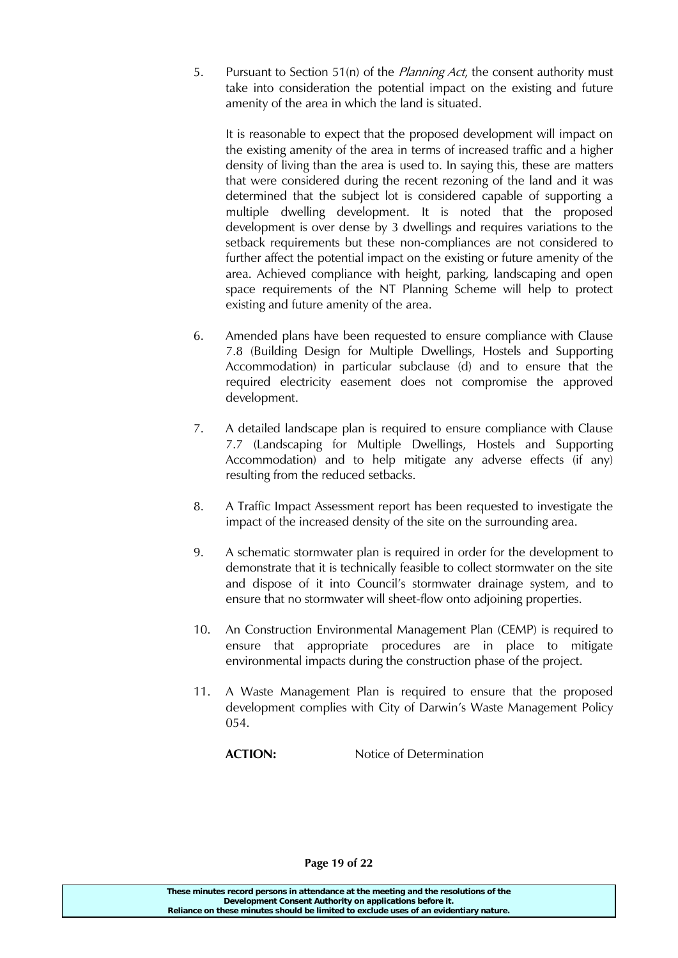5. Pursuant to Section 51(n) of the *Planning Act*, the consent authority must take into consideration the potential impact on the existing and future amenity of the area in which the land is situated.

It is reasonable to expect that the proposed development will impact on the existing amenity of the area in terms of increased traffic and a higher density of living than the area is used to. In saying this, these are matters that were considered during the recent rezoning of the land and it was determined that the subject lot is considered capable of supporting a multiple dwelling development. It is noted that the proposed development is over dense by 3 dwellings and requires variations to the setback requirements but these non-compliances are not considered to further affect the potential impact on the existing or future amenity of the area. Achieved compliance with height, parking, landscaping and open space requirements of the NT Planning Scheme will help to protect existing and future amenity of the area.

- 6. Amended plans have been requested to ensure compliance with Clause 7.8 (Building Design for Multiple Dwellings, Hostels and Supporting Accommodation) in particular subclause (d) and to ensure that the required electricity easement does not compromise the approved development.
- 7. A detailed landscape plan is required to ensure compliance with Clause 7.7 (Landscaping for Multiple Dwellings, Hostels and Supporting Accommodation) and to help mitigate any adverse effects (if any) resulting from the reduced setbacks.
- 8. A Traffic Impact Assessment report has been requested to investigate the impact of the increased density of the site on the surrounding area.
- 9. A schematic stormwater plan is required in order for the development to demonstrate that it is technically feasible to collect stormwater on the site and dispose of it into Council's stormwater drainage system, and to ensure that no stormwater will sheet-flow onto adjoining properties.
- 10. An Construction Environmental Management Plan (CEMP) is required to ensure that appropriate procedures are in place to mitigate environmental impacts during the construction phase of the project.
- 11. A Waste Management Plan is required to ensure that the proposed development complies with City of Darwin's Waste Management Policy 054.

**ACTION:** Notice of Determination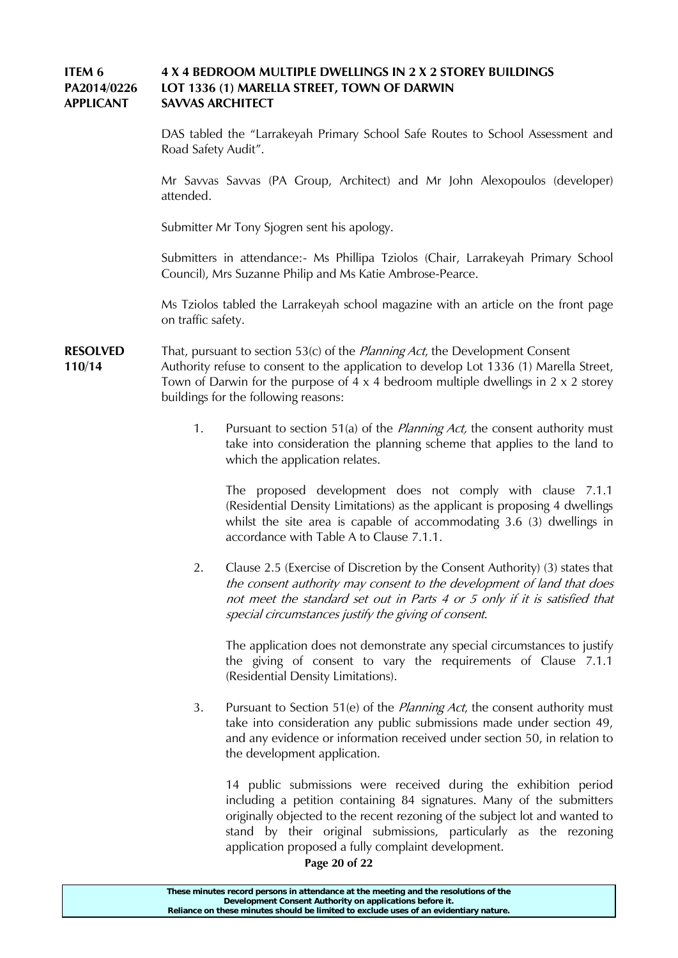## **ITEM 6 4 X 4 BEDROOM MULTIPLE DWELLINGS IN 2 X 2 STOREY BUILDINGS PA2014/0226 LOT 1336 (1) MARELLA STREET, TOWN OF DARWIN APPLICANT SAVVAS ARCHITECT**

DAS tabled the "Larrakeyah Primary School Safe Routes to School Assessment and Road Safety Audit".

Mr Savvas Savvas (PA Group, Architect) and Mr John Alexopoulos (developer) attended.

Submitter Mr Tony Sjogren sent his apology.

Submitters in attendance:- Ms Phillipa Tziolos (Chair, Larrakeyah Primary School Council), Mrs Suzanne Philip and Ms Katie Ambrose-Pearce.

Ms Tziolos tabled the Larrakeyah school magazine with an article on the front page on traffic safety.

**RESOLVED** That, pursuant to section 53(c) of the *Planning Act*, the Development Consent **110/14** Authority refuse to consent to the application to develop Lot 1336 (1) Marella Street, Town of Darwin for the purpose of  $4 \times 4$  bedroom multiple dwellings in  $2 \times 2$  storey buildings for the following reasons:

> 1. Pursuant to section 51(a) of the *Planning Act*, the consent authority must take into consideration the planning scheme that applies to the land to which the application relates.

The proposed development does not comply with clause 7.1.1 (Residential Density Limitations) as the applicant is proposing 4 dwellings whilst the site area is capable of accommodating 3.6 (3) dwellings in accordance with Table A to Clause 7.1.1.

2. Clause 2.5 (Exercise of Discretion by the Consent Authority) (3) states that the consent authority may consent to the development of land that does not meet the standard set out in Parts 4 or 5 only if it is satisfied that special circumstances justify the giving of consent.

The application does not demonstrate any special circumstances to justify the giving of consent to vary the requirements of Clause 7.1.1 (Residential Density Limitations).

3. Pursuant to Section 51(e) of the *Planning Act*, the consent authority must take into consideration any public submissions made under section 49, and any evidence or information received under section 50, in relation to the development application.

14 public submissions were received during the exhibition period including a petition containing 84 signatures. Many of the submitters originally objected to the recent rezoning of the subject lot and wanted to stand by their original submissions, particularly as the rezoning application proposed a fully complaint development.

**Page 20 of 22**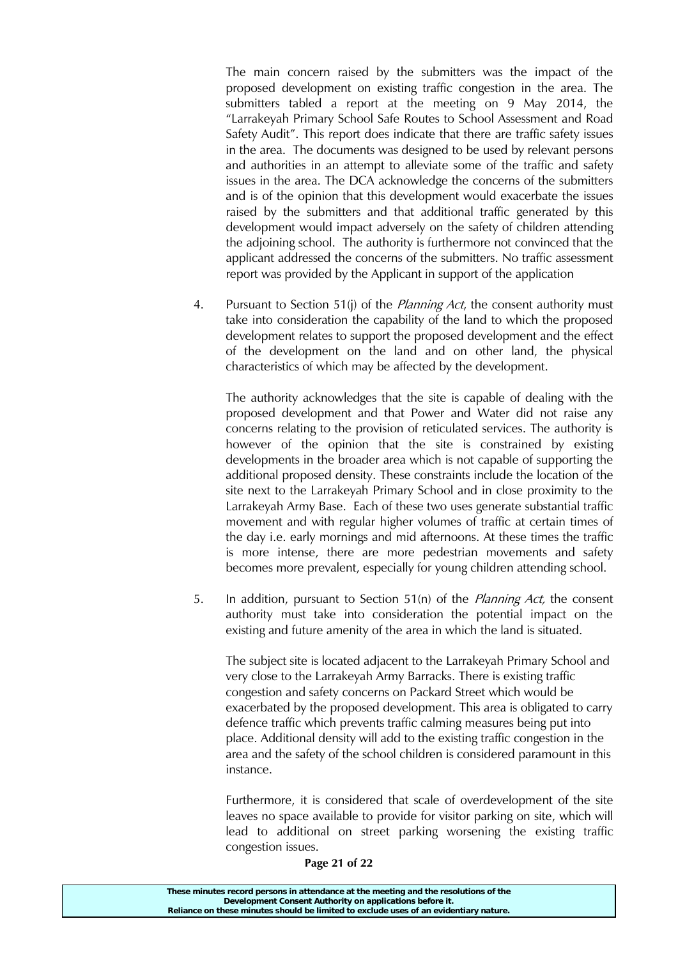The main concern raised by the submitters was the impact of the proposed development on existing traffic congestion in the area. The submitters tabled a report at the meeting on 9 May 2014, the "Larrakeyah Primary School Safe Routes to School Assessment and Road Safety Audit". This report does indicate that there are traffic safety issues in the area. The documents was designed to be used by relevant persons and authorities in an attempt to alleviate some of the traffic and safety issues in the area. The DCA acknowledge the concerns of the submitters and is of the opinion that this development would exacerbate the issues raised by the submitters and that additional traffic generated by this development would impact adversely on the safety of children attending the adjoining school. The authority is furthermore not convinced that the applicant addressed the concerns of the submitters. No traffic assessment report was provided by the Applicant in support of the application

4. Pursuant to Section 51(j) of the *Planning Act*, the consent authority must take into consideration the capability of the land to which the proposed development relates to support the proposed development and the effect of the development on the land and on other land, the physical characteristics of which may be affected by the development.

The authority acknowledges that the site is capable of dealing with the proposed development and that Power and Water did not raise any concerns relating to the provision of reticulated services. The authority is however of the opinion that the site is constrained by existing developments in the broader area which is not capable of supporting the additional proposed density. These constraints include the location of the site next to the Larrakeyah Primary School and in close proximity to the Larrakeyah Army Base. Each of these two uses generate substantial traffic movement and with regular higher volumes of traffic at certain times of the day i.e. early mornings and mid afternoons. At these times the traffic is more intense, there are more pedestrian movements and safety becomes more prevalent, especially for young children attending school.

5. In addition, pursuant to Section 51(n) of the *Planning Act*, the consent authority must take into consideration the potential impact on the existing and future amenity of the area in which the land is situated.

The subject site is located adjacent to the Larrakeyah Primary School and very close to the Larrakeyah Army Barracks. There is existing traffic congestion and safety concerns on Packard Street which would be exacerbated by the proposed development. This area is obligated to carry defence traffic which prevents traffic calming measures being put into place. Additional density will add to the existing traffic congestion in the area and the safety of the school children is considered paramount in this instance.

Furthermore, it is considered that scale of overdevelopment of the site leaves no space available to provide for visitor parking on site, which will lead to additional on street parking worsening the existing traffic congestion issues.